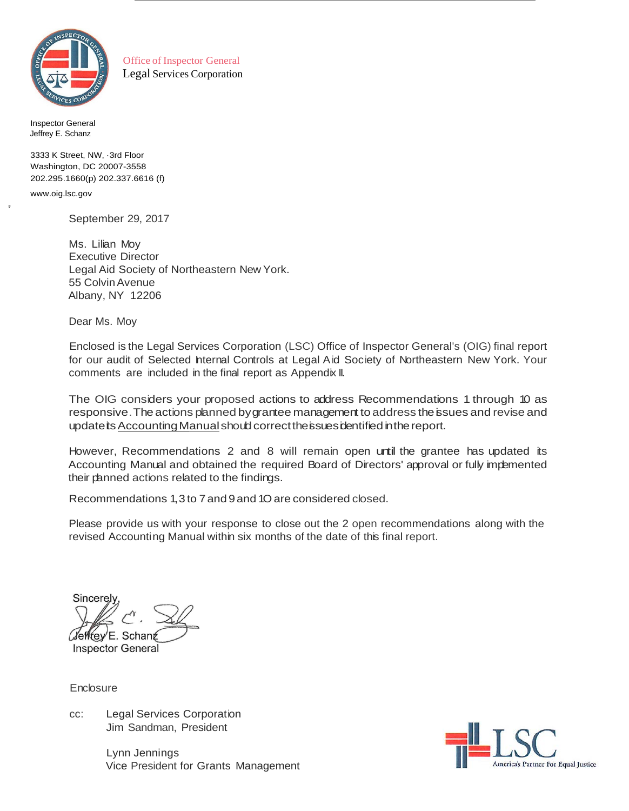

Office of Inspector General Legal Services Corporation

Inspector General Jeffrey E. Schanz

3333 K Street, NW, ·3rd Floor Washington, DC 20007-3558 202.295.1660(p) 202.337.6616 (f)

www.oig.lsc.gov

-.

September 29, 2017

Ms. Lilian Moy Executive Director Legal Aid Society of Northeastern New York. 55 ColvinAvenue Albany, NY 12206

Dear Ms. Moy

Enclosed is the Legal Services Corporation (LSC) Office of Inspector General's (OIG) final report for our audit of Selected hternal Controls at Legal Aid Society of Northeastern New York. Your comments are included in the final report as Appendix II.

The OIG considers your proposed actions to address Recommendations 1 through 10 as responsive. The actions planned by grantee management to address the issues and revise and update is Accounting Manual should correct the issues identified in the report.

However, Recommendations 2 and 8 will remain open until the grantee has updated its Accounting Manual and obtained the required Board of Directors' approval or fully implemented their planned actions related to the findings.

Recommendations 1,3 to 7 and 9 and 1Oare considered closed.

Please provide us with your response to close out the 2 open recommendations along with the revised Accounting Manual within six months of the date of this final report.

Sincerel ľeffrev<sup>/</sup>F. Schant **Inspector General** 

Enclosure

cc: Legal Services Corporation Jim Sandman, President

> Lynn Jennings Vice President for Grants Management

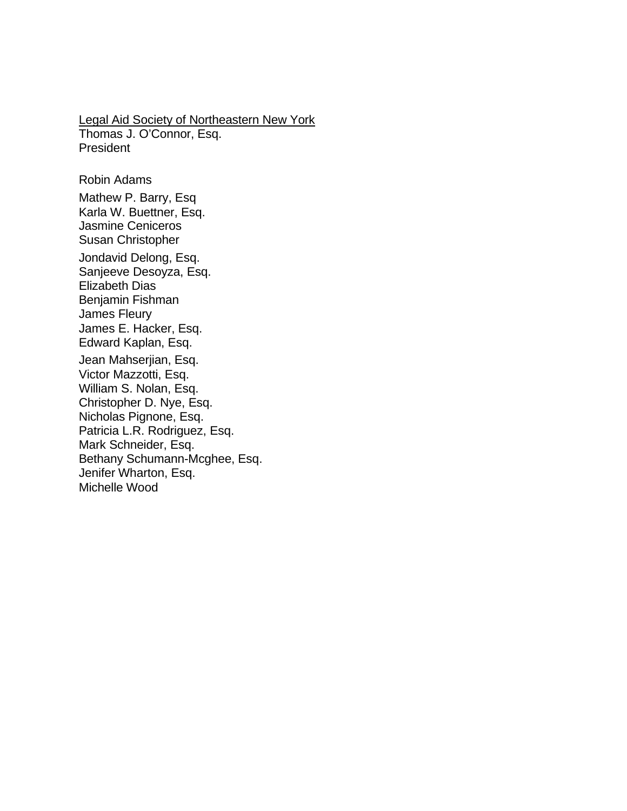Legal Aid Society of Northeastern New York Thomas J. O'Connor, Esq. President

Robin Adams Mathew P. Barry, Esq Karla W. Buettner, Esq. Jasmine Ceniceros Susan Christopher Jondavid Delong, Esq. Sanjeeve Desoyza, Esq. Elizabeth Dias Benjamin Fishman James Fleury James E. Hacker, Esq. Edward Kaplan, Esq. Jean Mahserjian, Esq. Victor Mazzotti, Esq. William S. Nolan, Esq. Christopher D. Nye, Esq. Nicholas Pignone, Esq. Patricia L.R. Rodriguez, Esq. Mark Schneider, Esq. Bethany Schumann-Mcghee, Esq. Jenifer Wharton, Esq. Michelle Wood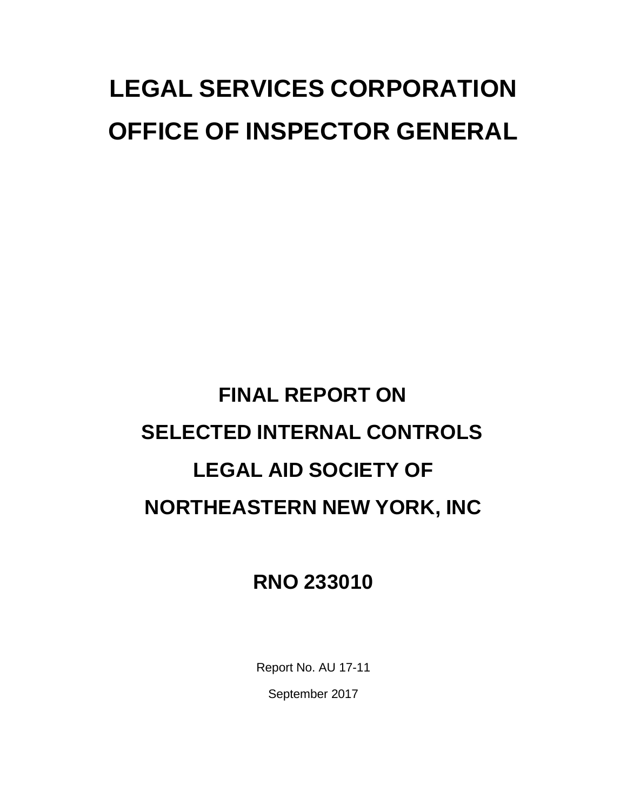# **LEGAL SERVICES CORPORATION OFFICE OF INSPECTOR GENERAL**

# **FINAL REPORT ON SELECTED INTERNAL CONTROLS LEGAL AID SOCIETY OF NORTHEASTERN NEW YORK, INC**

# **RNO 233010**

Report No. AU 17-11

September 2017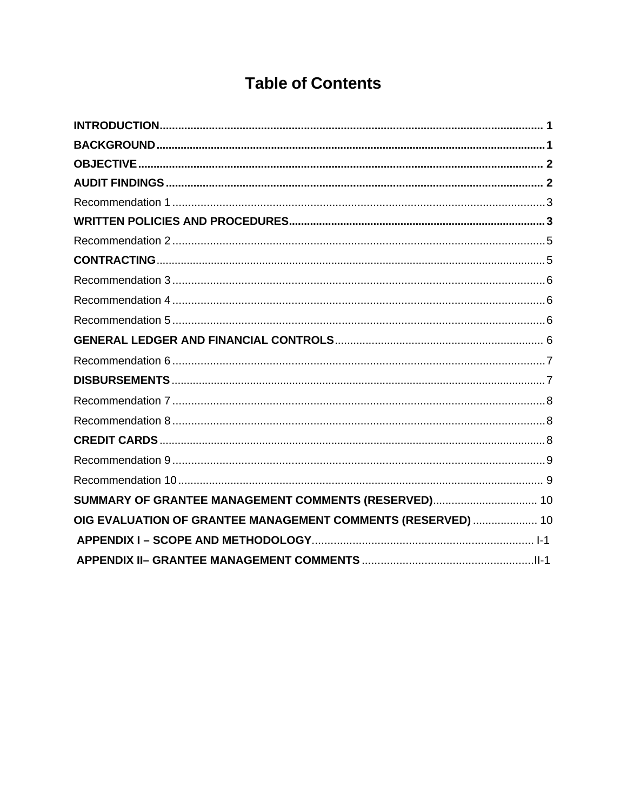# **Table of Contents**

| SUMMARY OF GRANTEE MANAGEMENT COMMENTS (RESERVED) 10         |  |
|--------------------------------------------------------------|--|
| OIG EVALUATION OF GRANTEE MANAGEMENT COMMENTS (RESERVED)  10 |  |
|                                                              |  |
|                                                              |  |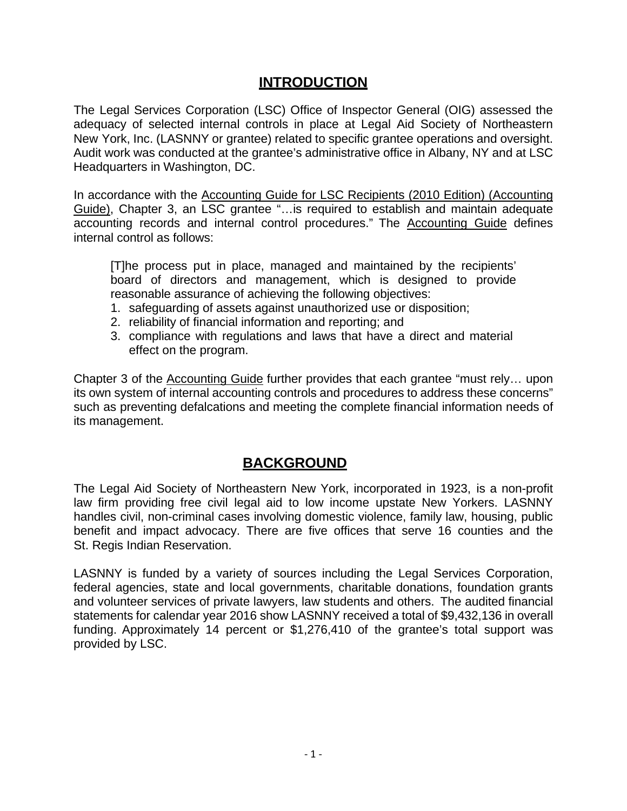## **INTRODUCTION**

<span id="page-4-0"></span>The Legal Services Corporation (LSC) Office of Inspector General (OIG) assessed the adequacy of selected internal controls in place at Legal Aid Society of Northeastern New York, Inc. (LASNNY or grantee) related to specific grantee operations and oversight. Audit work was conducted at the grantee's administrative office in Albany, NY and at LSC Headquarters in Washington, DC.

In accordance with the Accounting Guide for LSC Recipients (2010 Edition) (Accounting Guide), Chapter 3, an LSC grantee "…is required to establish and maintain adequate accounting records and internal control procedures." The Accounting Guide defines internal control as follows:

[T]he process put in place, managed and maintained by the recipients' board of directors and management, which is designed to provide reasonable assurance of achieving the following objectives:

- 1. safeguarding of assets against unauthorized use or disposition;
- 2. reliability of financial information and reporting; and
- 3. compliance with regulations and laws that have a direct and material effect on the program.

Chapter 3 of the Accounting Guide further provides that each grantee "must rely… upon its own system of internal accounting controls and procedures to address these concerns" such as preventing defalcations and meeting the complete financial information needs of its management.

## **BACKGROUND**

<span id="page-4-1"></span>The Legal Aid Society of Northeastern New York, incorporated in 1923, is a non-profit law firm providing free civil legal aid to low income upstate New Yorkers. LASNNY handles civil, non-criminal cases involving domestic violence, family law, housing, public benefit and impact advocacy. There are five offices that serve 16 counties and the St. Regis Indian Reservation.

LASNNY is funded by a variety of sources including the Legal Services Corporation, federal agencies, state and local governments, charitable donations, foundation grants and volunteer services of private lawyers, law students and others. The audited financial statements for calendar year 2016 show LASNNY received a total of \$9,432,136 in overall funding. Approximately 14 percent or \$1,276,410 of the grantee's total support was provided by LSC.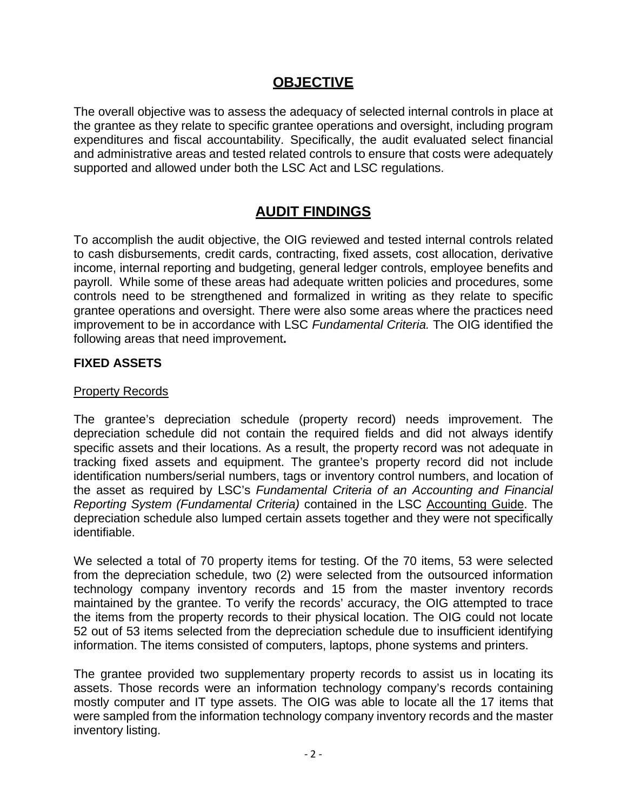### **OBJECTIVE**

<span id="page-5-0"></span>The overall objective was to assess the adequacy of selected internal controls in place at the grantee as they relate to specific grantee operations and oversight, including program expenditures and fiscal accountability. Specifically, the audit evaluated select financial and administrative areas and tested related controls to ensure that costs were adequately supported and allowed under both the LSC Act and LSC regulations.

# **AUDIT FINDINGS**

<span id="page-5-1"></span>To accomplish the audit objective, the OIG reviewed and tested internal controls related to cash disbursements, credit cards, contracting, fixed assets, cost allocation, derivative income, internal reporting and budgeting, general ledger controls, employee benefits and payroll. While some of these areas had adequate written policies and procedures, some controls need to be strengthened and formalized in writing as they relate to specific grantee operations and oversight. There were also some areas where the practices need improvement to be in accordance with LSC *Fundamental Criteria.* The OIG identified the following areas that need improvement**.**

#### **FIXED ASSETS**

#### **Property Records**

The grantee's depreciation schedule (property record) needs improvement. The depreciation schedule did not contain the required fields and did not always identify specific assets and their locations. As a result, the property record was not adequate in tracking fixed assets and equipment. The grantee's property record did not include identification numbers/serial numbers, tags or inventory control numbers, and location of the asset as required by LSC's *Fundamental Criteria of an Accounting and Financial Reporting System (Fundamental Criteria)* contained in the LSC Accounting Guide. The depreciation schedule also lumped certain assets together and they were not specifically identifiable.

We selected a total of 70 property items for testing. Of the 70 items, 53 were selected from the depreciation schedule, two (2) were selected from the outsourced information technology company inventory records and 15 from the master inventory records maintained by the grantee. To verify the records' accuracy, the OIG attempted to trace the items from the property records to their physical location. The OIG could not locate 52 out of 53 items selected from the depreciation schedule due to insufficient identifying information. The items consisted of computers, laptops, phone systems and printers.

The grantee provided two supplementary property records to assist us in locating its assets. Those records were an information technology company's records containing mostly computer and IT type assets. The OIG was able to locate all the 17 items that were sampled from the information technology company inventory records and the master inventory listing.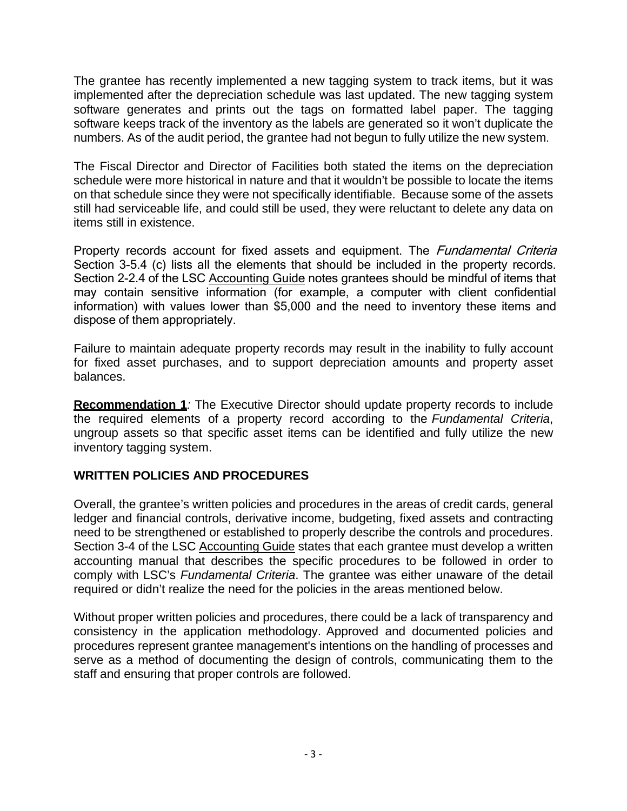The grantee has recently implemented a new tagging system to track items, but it was implemented after the depreciation schedule was last updated. The new tagging system software generates and prints out the tags on formatted label paper. The tagging software keeps track of the inventory as the labels are generated so it won't duplicate the numbers. As of the audit period, the grantee had not begun to fully utilize the new system.

The Fiscal Director and Director of Facilities both stated the items on the depreciation schedule were more historical in nature and that it wouldn't be possible to locate the items on that schedule since they were not specifically identifiable. Because some of the assets still had serviceable life, and could still be used, they were reluctant to delete any data on items still in existence.

Property records account for fixed assets and equipment. The *Fundamental Criteria* Section 3-5.4 (c) lists all the elements that should be included in the property records. Section 2-2.4 of the LSC Accounting Guide notes grantees should be mindful of items that may contain sensitive information (for example, a computer with client confidential information) with values lower than \$5,000 and the need to inventory these items and dispose of them appropriately.

Failure to maintain adequate property records may result in the inability to fully account for fixed asset purchases, and to support depreciation amounts and property asset balances.

**Recommendation 1***:* The Executive Director should update property records to include the required elements of a property record according to the *Fundamental Criteria*, ungroup assets so that specific asset items can be identified and fully utilize the new inventory tagging system.

#### <span id="page-6-0"></span>**WRITTEN POLICIES AND PROCEDURES**

Overall, the grantee's written policies and procedures in the areas of credit cards, general ledger and financial controls, derivative income, budgeting, fixed assets and contracting need to be strengthened or established to properly describe the controls and procedures. Section 3-4 of the LSC Accounting Guide states that each grantee must develop a written accounting manual that describes the specific procedures to be followed in order to comply with LSC's *Fundamental Criteria*. The grantee was either unaware of the detail required or didn't realize the need for the policies in the areas mentioned below.

Without proper written policies and procedures, there could be a lack of transparency and consistency in the application methodology. Approved and documented policies and procedures represent grantee management's intentions on the handling of processes and serve as a method of documenting the design of controls, communicating them to the staff and ensuring that proper controls are followed.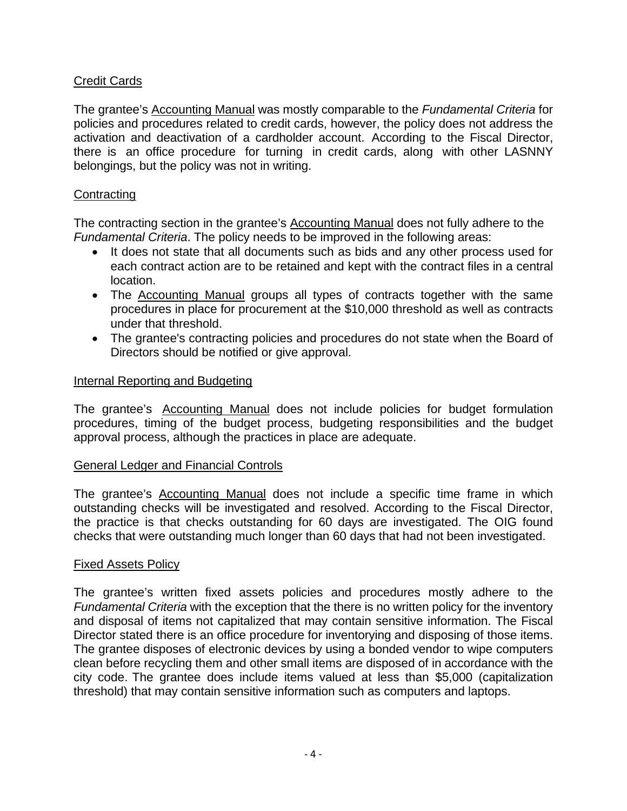#### Credit Cards

The grantee's Accounting Manual was mostly comparable to the *Fundamental Criteria* for policies and procedures related to credit cards, however, the policy does not address the activation and deactivation of a cardholder account. According to the Fiscal Director, there is an office procedure for turning in credit cards, along with other LASNNY belongings, but the policy was not in writing.

#### **Contracting**

The contracting section in the grantee's Accounting Manual does not fully adhere to the *Fundamental Criteria*. The policy needs to be improved in the following areas:

- It does not state that all documents such as bids and any other process used for each contract action are to be retained and kept with the contract files in a central location.
- The Accounting Manual groups all types of contracts together with the same procedures in place for procurement at the \$10,000 threshold as well as contracts under that threshold.
- The grantee's contracting policies and procedures do not state when the Board of Directors should be notified or give approval.

#### Internal Reporting and Budgeting

The grantee's Accounting Manual does not include policies for budget formulation procedures, timing of the budget process, budgeting responsibilities and the budget approval process, although the practices in place are adequate.

#### General Ledger and Financial Controls

The grantee's Accounting Manual does not include a specific time frame in which outstanding checks will be investigated and resolved. According to the Fiscal Director, the practice is that checks outstanding for 60 days are investigated. The OIG found checks that were outstanding much longer than 60 days that had not been investigated.

#### Fixed Assets Policy

The grantee's written fixed assets policies and procedures mostly adhere to the *Fundamental Criteria* with the exception that the there is no written policy for the inventory and disposal of items not capitalized that may contain sensitive information. The Fiscal Director stated there is an office procedure for inventorying and disposing of those items. The grantee disposes of electronic devices by using a bonded vendor to wipe computers clean before recycling them and other small items are disposed of in accordance with the city code. The grantee does include items valued at less than \$5,000 (capitalization threshold) that may contain sensitive information such as computers and laptops.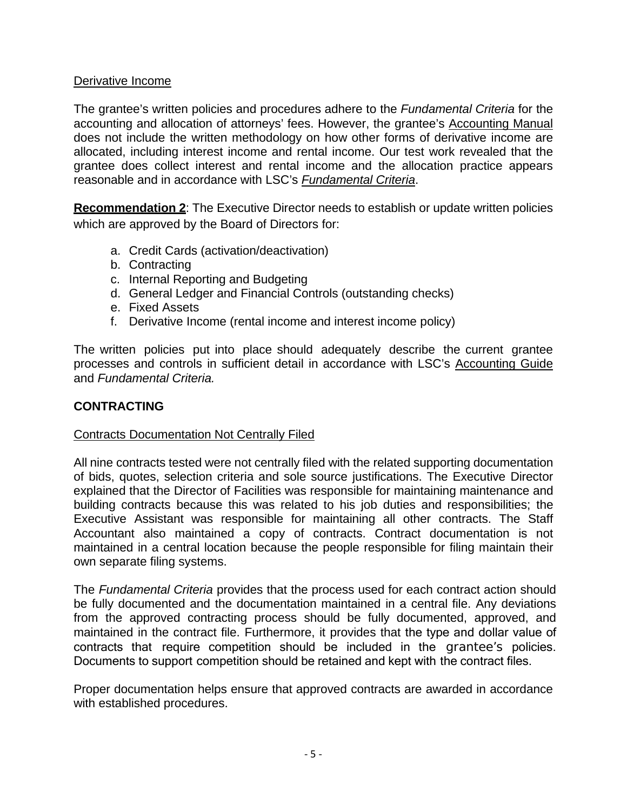#### Derivative Income

The grantee's written policies and procedures adhere to the *Fundamental Criteria* for the accounting and allocation of attorneys' fees. However, the grantee's Accounting Manual does not include the written methodology on how other forms of derivative income are allocated, including interest income and rental income. Our test work revealed that the grantee does collect interest and rental income and the allocation practice appears reasonable and in accordance with LSC's *Fundamental Criteria*.

**Recommendation 2**: The Executive Director needs to establish or update written policies which are approved by the Board of Directors for:

- a. Credit Cards (activation/deactivation)
- b. Contracting
- c. Internal Reporting and Budgeting
- d. General Ledger and Financial Controls (outstanding checks)
- e. Fixed Assets
- f. Derivative Income (rental income and interest income policy)

The written policies put into place should adequately describe the current grantee processes and controls in sufficient detail in accordance with LSC's Accounting Guide and *Fundamental Criteria.*

#### <span id="page-8-0"></span>**CONTRACTING**

#### Contracts Documentation Not Centrally Filed

All nine contracts tested were not centrally filed with the related supporting documentation of bids, quotes, selection criteria and sole source justifications. The Executive Director explained that the Director of Facilities was responsible for maintaining maintenance and building contracts because this was related to his job duties and responsibilities; the Executive Assistant was responsible for maintaining all other contracts. The Staff Accountant also maintained a copy of contracts. Contract documentation is not maintained in a central location because the people responsible for filing maintain their own separate filing systems.

The *Fundamental Criteria* provides that the process used for each contract action should be fully documented and the documentation maintained in a central file. Any deviations from the approved contracting process should be fully documented, approved, and maintained in the contract file. Furthermore, it provides that the type and dollar value of contracts that require competition should be included in the grantee's policies. Documents to support competition should be retained and kept with the contract files.

Proper documentation helps ensure that approved contracts are awarded in accordance with established procedures.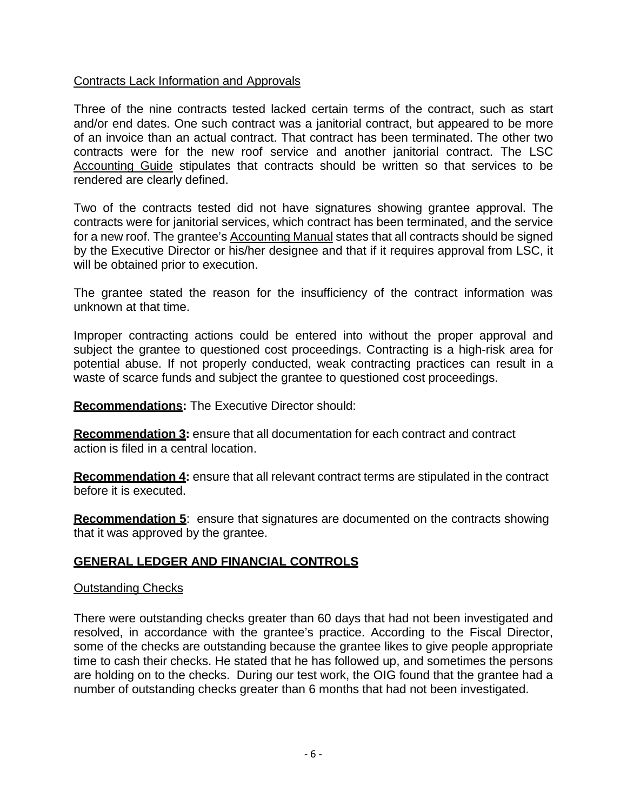#### Contracts Lack Information and Approvals

Three of the nine contracts tested lacked certain terms of the contract, such as start and/or end dates. One such contract was a janitorial contract, but appeared to be more of an invoice than an actual contract. That contract has been terminated. The other two contracts were for the new roof service and another janitorial contract. The LSC Accounting Guide stipulates that contracts should be written so that services to be rendered are clearly defined.

Two of the contracts tested did not have signatures showing grantee approval. The contracts were for janitorial services, which contract has been terminated, and the service for a new roof. The grantee's Accounting Manual states that all contracts should be signed by the Executive Director or his/her designee and that if it requires approval from LSC, it will be obtained prior to execution.

The grantee stated the reason for the insufficiency of the contract information was unknown at that time.

Improper contracting actions could be entered into without the proper approval and subject the grantee to questioned cost proceedings. Contracting is a high-risk area for potential abuse. If not properly conducted, weak contracting practices can result in a waste of scarce funds and subject the grantee to questioned cost proceedings.

**Recommendations:** The Executive Director should:

**Recommendation 3:** ensure that all documentation for each contract and contract action is filed in a central location.

**Recommendation 4:** ensure that all relevant contract terms are stipulated in the contract before it is executed.

**Recommendation 5**: ensure that signatures are documented on the contracts showing that it was approved by the grantee.

### <span id="page-9-0"></span>**GENERAL LEDGER AND FINANCIAL CONTROLS**

#### Outstanding Checks

There were outstanding checks greater than 60 days that had not been investigated and resolved, in accordance with the grantee's practice. According to the Fiscal Director, some of the checks are outstanding because the grantee likes to give people appropriate time to cash their checks. He stated that he has followed up, and sometimes the persons are holding on to the checks. During our test work, the OIG found that the grantee had a number of outstanding checks greater than 6 months that had not been investigated.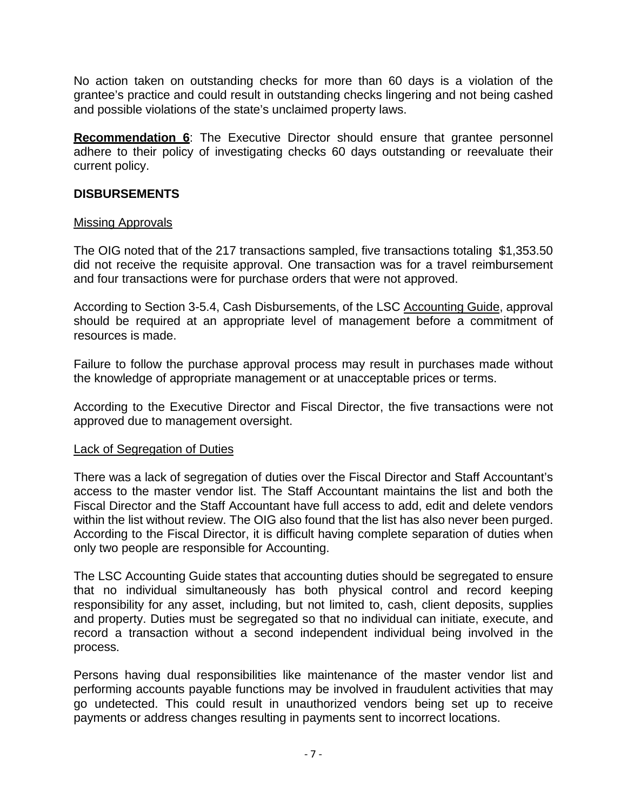No action taken on outstanding checks for more than 60 days is a violation of the grantee's practice and could result in outstanding checks lingering and not being cashed and possible violations of the state's unclaimed property laws.

**Recommendation 6**: The Executive Director should ensure that grantee personnel adhere to their policy of investigating checks 60 days outstanding or reevaluate their current policy.

#### <span id="page-10-0"></span>**DISBURSEMENTS**

#### Missing Approvals

The OIG noted that of the 217 transactions sampled, five transactions totaling \$1,353.50 did not receive the requisite approval. One transaction was for a travel reimbursement and four transactions were for purchase orders that were not approved.

According to Section 3-5.4, Cash Disbursements, of the LSC Accounting Guide, approval should be required at an appropriate level of management before a commitment of resources is made.

Failure to follow the purchase approval process may result in purchases made without the knowledge of appropriate management or at unacceptable prices or terms.

According to the Executive Director and Fiscal Director, the five transactions were not approved due to management oversight.

#### Lack of Segregation of Duties

There was a lack of segregation of duties over the Fiscal Director and Staff Accountant's access to the master vendor list. The Staff Accountant maintains the list and both the Fiscal Director and the Staff Accountant have full access to add, edit and delete vendors within the list without review. The OIG also found that the list has also never been purged. According to the Fiscal Director, it is difficult having complete separation of duties when only two people are responsible for Accounting.

The LSC Accounting Guide states that accounting duties should be segregated to ensure that no individual simultaneously has both physical control and record keeping responsibility for any asset, including, but not limited to, cash, client deposits, supplies and property. Duties must be segregated so that no individual can initiate, execute, and record a transaction without a second independent individual being involved in the process.

Persons having dual responsibilities like maintenance of the master vendor list and performing accounts payable functions may be involved in fraudulent activities that may go undetected. This could result in unauthorized vendors being set up to receive payments or address changes resulting in payments sent to incorrect locations.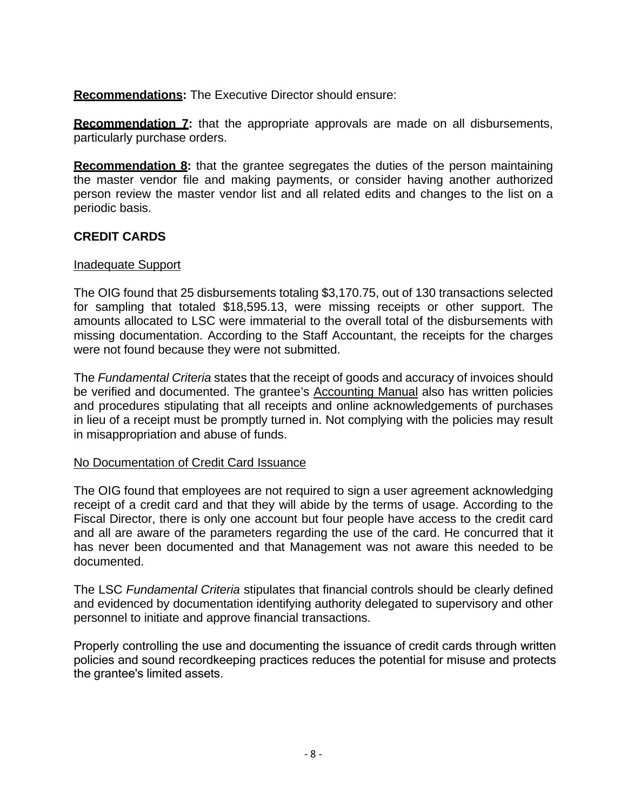**Recommendations:** The Executive Director should ensure:

**Recommendation 7:** that the appropriate approvals are made on all disbursements, particularly purchase orders.

**Recommendation 8:** that the grantee segregates the duties of the person maintaining the master vendor file and making payments, or consider having another authorized person review the master vendor list and all related edits and changes to the list on a periodic basis.

#### <span id="page-11-0"></span>**CREDIT CARDS**

#### Inadequate Support

The OIG found that 25 disbursements totaling \$3,170.75, out of 130 transactions selected for sampling that totaled \$18,595.13, were missing receipts or other support. The amounts allocated to LSC were immaterial to the overall total of the disbursements with missing documentation. According to the Staff Accountant, the receipts for the charges were not found because they were not submitted.

The *Fundamental Criteria* states that the receipt of goods and accuracy of invoices should be verified and documented. The grantee's Accounting Manual also has written policies and procedures stipulating that all receipts and online acknowledgements of purchases in lieu of a receipt must be promptly turned in. Not complying with the policies may result in misappropriation and abuse of funds.

#### No Documentation of Credit Card Issuance

The OIG found that employees are not required to sign a user agreement acknowledging receipt of a credit card and that they will abide by the terms of usage. According to the Fiscal Director, there is only one account but four people have access to the credit card and all are aware of the parameters regarding the use of the card. He concurred that it has never been documented and that Management was not aware this needed to be documented.

The LSC *Fundamental Criteria* stipulates that financial controls should be clearly defined and evidenced by documentation identifying authority delegated to supervisory and other personnel to initiate and approve financial transactions.

Properly controlling the use and documenting the issuance of credit cards through written policies and sound recordkeeping practices reduces the potential for misuse and protects the grantee's limited assets.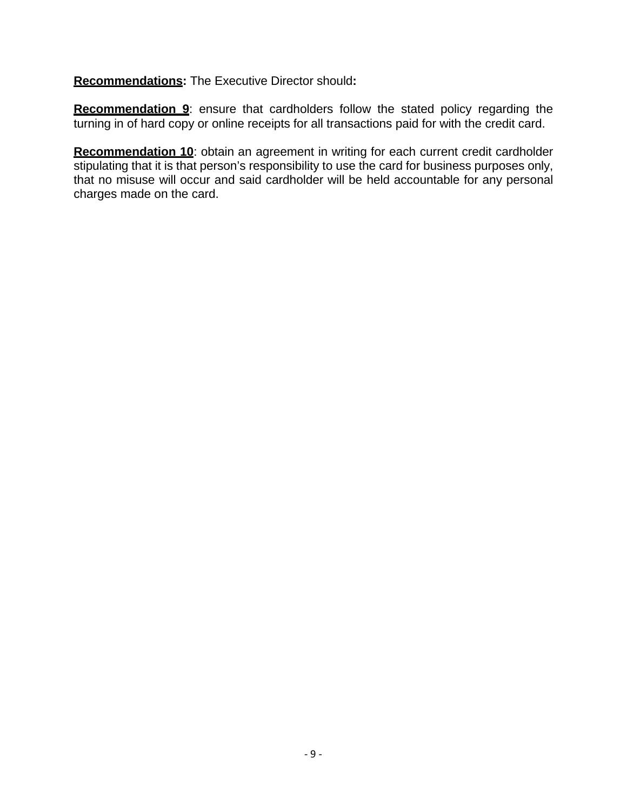**Recommendations:** The Executive Director should**:**

**Recommendation 9**: ensure that cardholders follow the stated policy regarding the turning in of hard copy or online receipts for all transactions paid for with the credit card.

**Recommendation 10**: obtain an agreement in writing for each current credit cardholder stipulating that it is that person's responsibility to use the card for business purposes only, that no misuse will occur and said cardholder will be held accountable for any personal charges made on the card.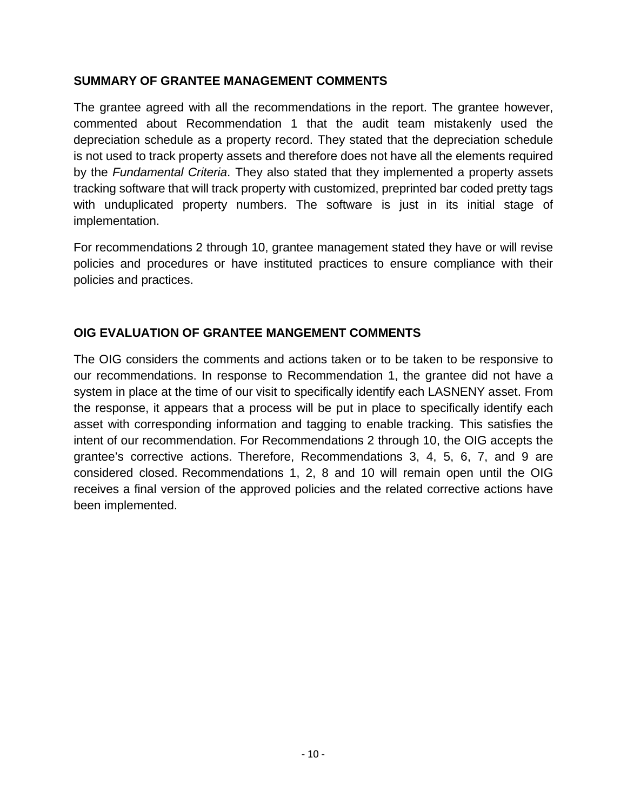#### **SUMMARY OF GRANTEE MANAGEMENT COMMENTS**

The grantee agreed with all the recommendations in the report. The grantee however, commented about Recommendation 1 that the audit team mistakenly used the depreciation schedule as a property record. They stated that the depreciation schedule is not used to track property assets and therefore does not have all the elements required by the *Fundamental Criteria*. They also stated that they implemented a property assets tracking software that will track property with customized, preprinted bar coded pretty tags with unduplicated property numbers. The software is just in its initial stage of implementation.

For recommendations 2 through 10, grantee management stated they have or will revise policies and procedures or have instituted practices to ensure compliance with their policies and practices.

#### **OIG EVALUATION OF GRANTEE MANGEMENT COMMENTS**

The OIG considers the comments and actions taken or to be taken to be responsive to our recommendations. In response to Recommendation 1, the grantee did not have a system in place at the time of our visit to specifically identify each LASNENY asset. From the response, it appears that a process will be put in place to specifically identify each asset with corresponding information and tagging to enable tracking. This satisfies the intent of our recommendation. For Recommendations 2 through 10, the OIG accepts the grantee's corrective actions. Therefore, Recommendations 3, 4, 5, 6, 7, and 9 are considered closed. Recommendations 1, 2, 8 and 10 will remain open until the OIG receives a final version of the approved policies and the related corrective actions have been implemented.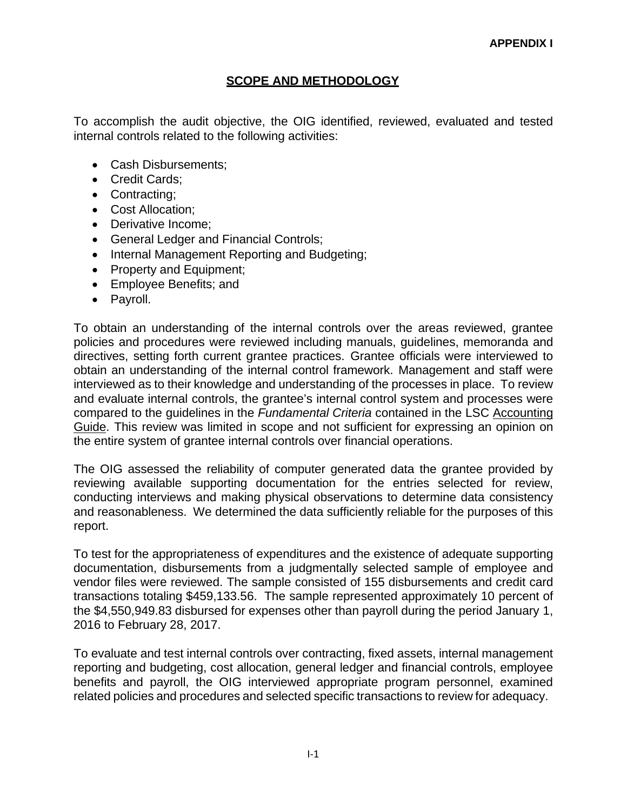#### **SCOPE AND METHODOLOGY**

To accomplish the audit objective, the OIG identified, reviewed, evaluated and tested internal controls related to the following activities:

- Cash Disbursements:
- Credit Cards;
- Contracting;
- Cost Allocation;
- Derivative Income:
- General Ledger and Financial Controls;
- Internal Management Reporting and Budgeting;
- Property and Equipment;
- Employee Benefits; and
- Payroll.

To obtain an understanding of the internal controls over the areas reviewed, grantee policies and procedures were reviewed including manuals, guidelines, memoranda and directives, setting forth current grantee practices. Grantee officials were interviewed to obtain an understanding of the internal control framework. Management and staff were interviewed as to their knowledge and understanding of the processes in place. To review and evaluate internal controls, the grantee's internal control system and processes were compared to the guidelines in the *Fundamental Criteria* contained in the LSC Accounting Guide. This review was limited in scope and not sufficient for expressing an opinion on the entire system of grantee internal controls over financial operations.

The OIG assessed the reliability of computer generated data the grantee provided by reviewing available supporting documentation for the entries selected for review, conducting interviews and making physical observations to determine data consistency and reasonableness. We determined the data sufficiently reliable for the purposes of this report.

To test for the appropriateness of expenditures and the existence of adequate supporting documentation, disbursements from a judgmentally selected sample of employee and vendor files were reviewed. The sample consisted of 155 disbursements and credit card transactions totaling \$459,133.56. The sample represented approximately 10 percent of the \$4,550,949.83 disbursed for expenses other than payroll during the period January 1, 2016 to February 28, 2017.

To evaluate and test internal controls over contracting, fixed assets, internal management reporting and budgeting, cost allocation, general ledger and financial controls, employee benefits and payroll, the OIG interviewed appropriate program personnel, examined related policies and procedures and selected specific transactions to review for adequacy.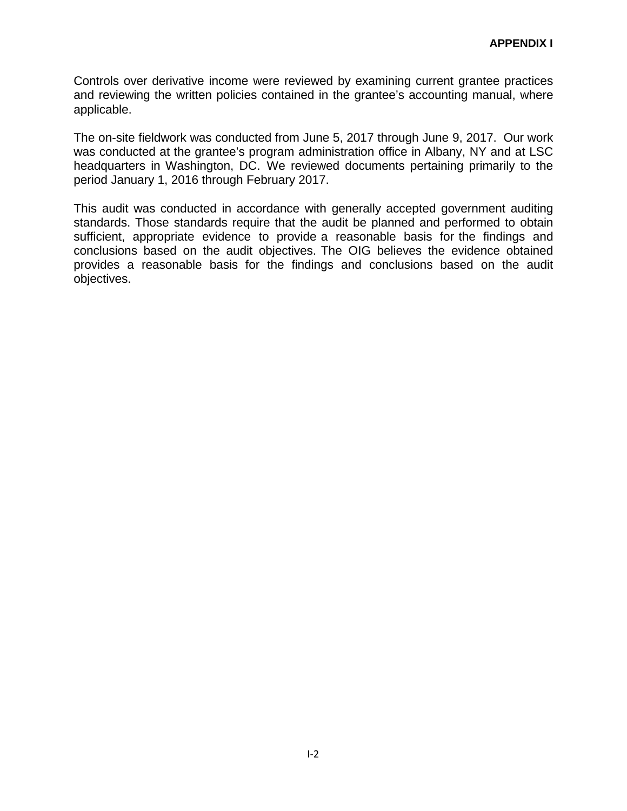Controls over derivative income were reviewed by examining current grantee practices and reviewing the written policies contained in the grantee's accounting manual, where applicable.

The on-site fieldwork was conducted from June 5, 2017 through June 9, 2017. Our work was conducted at the grantee's program administration office in Albany, NY and at LSC headquarters in Washington, DC. We reviewed documents pertaining primarily to the period January 1, 2016 through February 2017.

This audit was conducted in accordance with generally accepted government auditing standards. Those standards require that the audit be planned and performed to obtain sufficient, appropriate evidence to provide a reasonable basis for the findings and conclusions based on the audit objectives. The OIG believes the evidence obtained provides a reasonable basis for the findings and conclusions based on the audit objectives.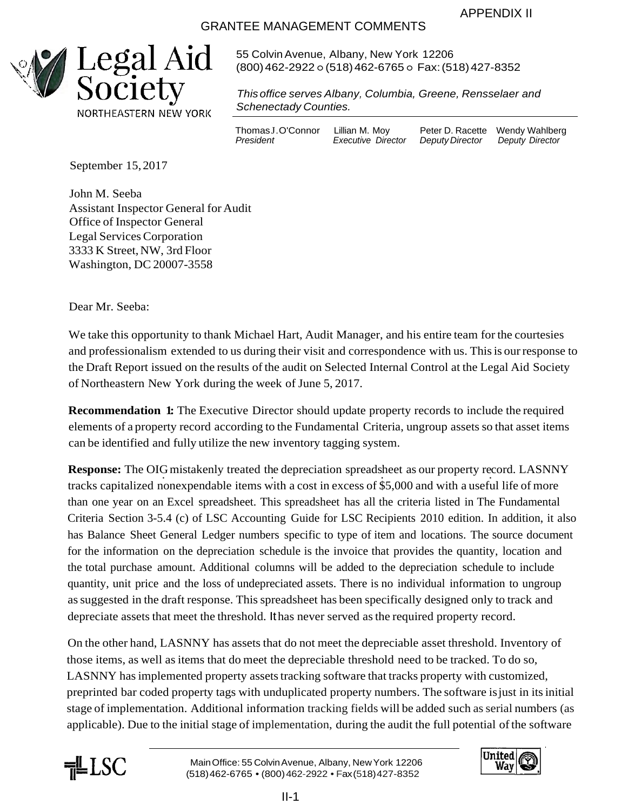APPENDIX II

#### GRANTEE MANAGEMENT COMMENTS



55 ColvinAvenue, Albany, New York 12206 (800)462-2922 ○ (518)462-6765 ○ Fax:(518)427-8352

*Thisoffice serves Albany, Columbia, Greene, Rensselaer and Schenectady Counties.*

Thomas J. O'Connor Lillian M. Moy Peter D. Racette Wendy Wahlberg<br>President Executive Director Deputy Director Deputy Director

 $E$ *xecutive Director* 

September 15, 2017

John M. Seeba Assistant Inspector General for Audit Office of Inspector General Legal Services Corporation 3333 K Street,NW, 3rd Floor Washington, DC 20007-3558

Dear Mr. Seeba:

We take this opportunity to thank Michael Hart, Audit Manager, and his entire team for the courtesies and professionalism extended to us during their visit and correspondence with us. Thisis ourresponse to the Draft Report issued on the results of the audit on Selected Internal Control at the Legal Aid Society of Northeastern New York during the week of June 5, 2017.

**Recommendation 1:** The Executive Director should update property records to include the required elements of a property record according to the Fundamental Criteria, ungroup assets so that asset items can be identified and fully utilize the new inventory tagging system.

**Response:** The OIG mistakenly treated the depreciation spreadsheet as our property record. LASNNY le depreciation spreadsheet as our property re tracks capitalized nonexpendable items with a cost in excess of \$5,000 and with a useful life of more than one year on an Excel spreadsheet. This spreadsheet has all the criteria listed in The Fundamental Criteria Section 3-5.4 (c) of LSC Accounting Guide for LSC Recipients 2010 edition. In addition, it also has Balance Sheet General Ledger numbers specific to type of item and locations. The source document for the information on the depreciation schedule is the invoice that provides the quantity, location and the total purchase amount. Additional columns will be added to the depreciation schedule to include quantity, unit price and the loss of undepreciated assets. There is no individual information to ungroup assuggested in the draft response. Thisspreadsheet has been specifically designed only to track and depreciate assets that meet the threshold. Ithas never served asthe required property record.

On the other hand, LASNNY has assets that do not meet the depreciable asset threshold. Inventory of those items, as well as items that do meet the depreciable threshold need to be tracked. To do so, LASNNY has implemented property assets tracking software that tracks property with customized, preprinted bar coded property tags with unduplicated property numbers. The software isjust in itsinitial stage of implementation. Additional information tracking fields will be added such asserial numbers (as applicable). Due to the initial stage of implementation, during the audit the full potential of the software



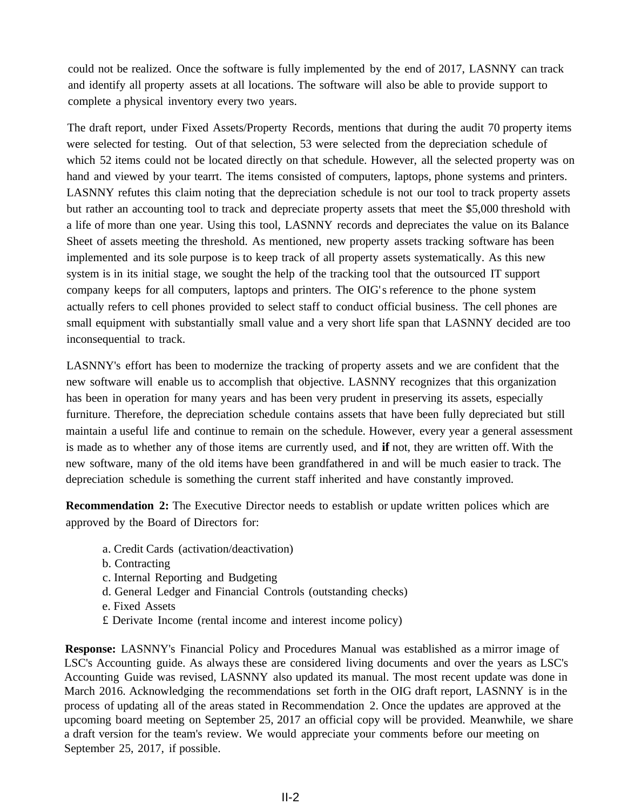could not be realized. Once the software is fully implemented by the end of 2017, LASNNY can track and identify all property assets at all locations. The software will also be able to provide support to complete a physical inventory every two years.

The draft report, under Fixed Assets/Property Records, mentions that during the audit 70 property items were selected for testing. Out of that selection, 53 were selected from the depreciation schedule of which 52 items could not be located directly on that schedule. However, all the selected property was on hand and viewed by your tearrt. The items consisted of computers, laptops, phone systems and printers. LASNNY refutes this claim noting that the depreciation schedule is not our tool to track property assets but rather an accounting tool to track and depreciate property assets that meet the \$5,000 threshold with a life of more than one year. Using this tool, LASNNY records and depreciates the value on its Balance Sheet of assets meeting the threshold. As mentioned, new property assets tracking software has been implemented and its sole purpose is to keep track of all property assets systematically. As this new system is in its initial stage, we sought the help of the tracking tool that the outsourced IT support company keeps for all computers, laptops and printers. The OIG's reference to the phone system actually refers to cell phones provided to select staff to conduct official business. The cell phones are small equipment with substantially small value and a very short life span that LASNNY decided are too inconsequential to track.

LASNNY's effort has been to modernize the tracking of property assets and we are confident that the new software will enable us to accomplish that objective. LASNNY recognizes that this organization has been in operation for many years and has been very prudent in preserving its assets, especially furniture. Therefore, the depreciation schedule contains assets that have been fully depreciated but still maintain a useful life and continue to remain on the schedule. However, every year a general assessment is made as to whether any of those items are currently used, and **if** not, they are written off. With the new software, many of the old items have been grandfathered in and will be much easier to track. The depreciation schedule is something the current staff inherited and have constantly improved.

**Recommendation 2:** The Executive Director needs to establish or update written polices which are approved by the Board of Directors for:

- a. Credit Cards (activation/deactivation)
- b. Contracting
- c. Internal Reporting and Budgeting
- d. General Ledger and Financial Controls (outstanding checks)
- e. Fixed Assets
- £ Derivate Income (rental income and interest income policy)

**Response:** LASNNY's Financial Policy and Procedures Manual was established as a mirror image of LSC's Accounting guide. As always these are considered living documents and over the years as LSC's Accounting Guide was revised, LASNNY also updated its manual. The most recent update was done in March 2016. Acknowledging the recommendations set forth in the OIG draft report, LASNNY is in the process of updating all of the areas stated in Recommendation 2. Once the updates are approved at the upcoming board meeting on September 25, 2017 an official copy will be provided. Meanwhile, we share a draft version for the team's review. We would appreciate your comments before our meeting on September 25, 2017, if possible.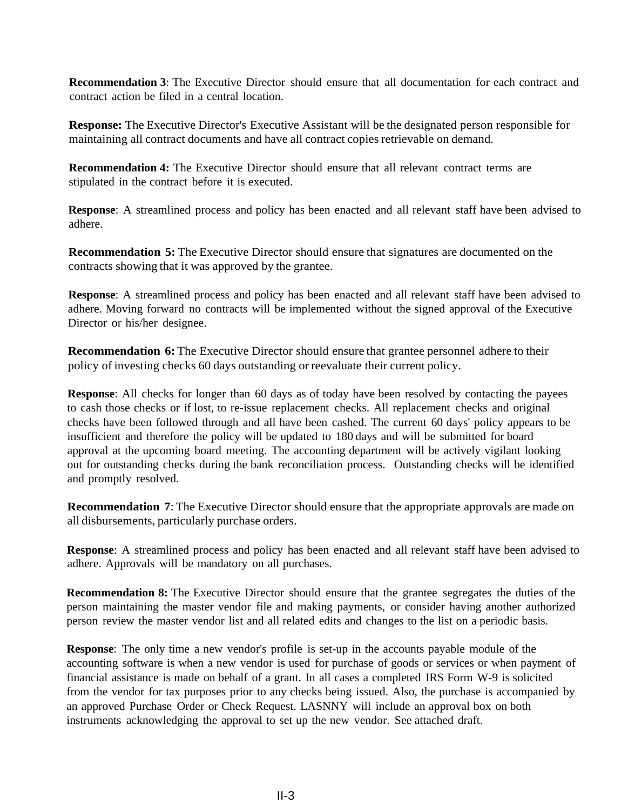**Recommendation 3**: The Executive Director should ensure that all documentation for each contract and contract action be filed in a central location.

**Response:** The Executive Director's Executive Assistant will be the designated person responsible for maintaining all contract documents and have all contract copies retrievable on demand.

**Recommendation 4:** The Executive Director should ensure that all relevant contract terms are stipulated in the contract before it is executed.

**Response**: A streamlined process and policy has been enacted and all relevant staff have been advised to adhere.

**Recommendation 5:** The Executive Director should ensure that signatures are documented on the contracts showing that it was approved by the grantee.

**Response**: A streamlined process and policy has been enacted and all relevant staff have been advised to adhere. Moving forward no contracts will be implemented without the signed approval of the Executive Director or his/her designee.

**Recommendation 6:** The Executive Director should ensure that grantee personnel adhere to their policy of investing checks 60 days outstanding or reevaluate their current policy.

**Response**: All checks for longer than 60 days as of today have been resolved by contacting the payees to cash those checks or if lost, to re-issue replacement checks. All replacement checks and original checks have been followed through and all have been cashed. The current 60 days' policy appears to be insufficient and therefore the policy will be updated to 180 days and will be submitted for board approval at the upcoming board meeting. The accounting department will be actively vigilant looking out for outstanding checks during the bank reconciliation process. Outstanding checks will be identified and promptly resolved.

**Recommendation 7**: The Executive Director should ensure that the appropriate approvals are made on all disbursements, particularly purchase orders.

**Response**: A streamlined process and policy has been enacted and all relevant staff have been advised to adhere. Approvals will be mandatory on all purchases.

**Recommendation 8:** The Executive Director should ensure that the grantee segregates the duties of the person maintaining the master vendor file and making payments, or consider having another authorized person review the master vendor list and all related edits and changes to the list on a periodic basis.

**Response**: The only time a new vendor's profile is set-up in the accounts payable module of the accounting software is when a new vendor is used for purchase of goods or services or when payment of financial assistance is made on behalf of a grant. In all cases a completed IRS Form W-9 is solicited from the vendor for tax purposes prior to any checks being issued. Also, the purchase is accompanied by an approved Purchase Order or Check Request. LASNNY will include an approval box on both instruments acknowledging the approval to set up the new vendor. See attached draft.